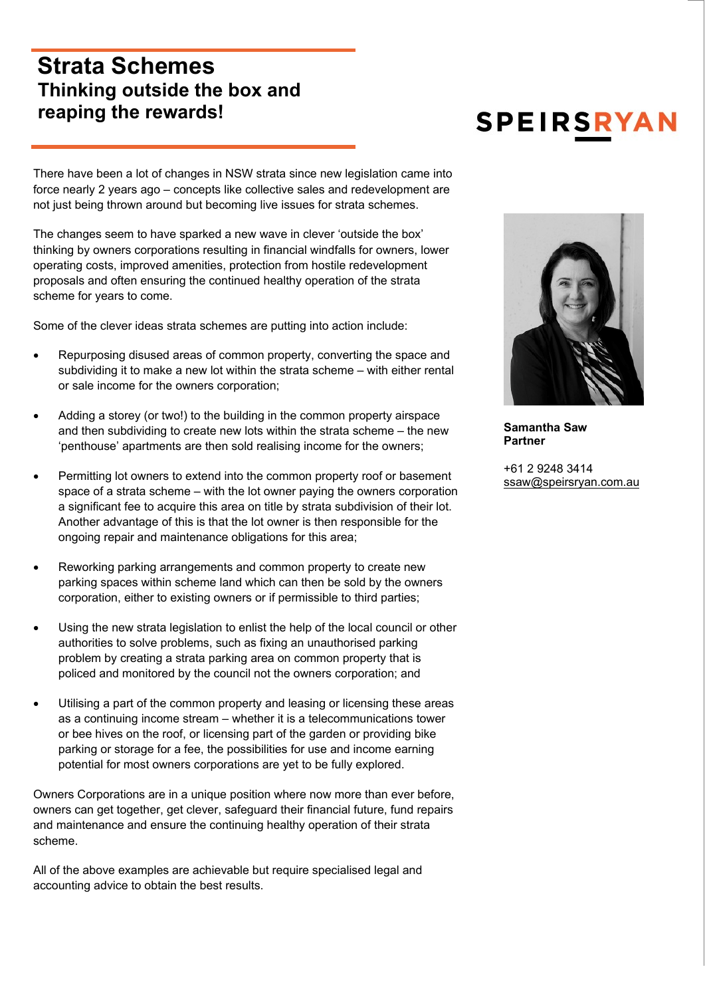## **Strata Schemes Thinking outside the box and reaping the rewards!**

There have been a lot of changes in NSW strata since new legislation came into force nearly 2 years ago – concepts like collective sales and redevelopment are not just being thrown around but becoming live issues for strata schemes.

The changes seem to have sparked a new wave in clever 'outside the box' thinking by owners corporations resulting in financial windfalls for owners, lower operating costs, improved amenities, protection from hostile redevelopment proposals and often ensuring the continued healthy operation of the strata scheme for years to come.

Some of the clever ideas strata schemes are putting into action include:

- Repurposing disused areas of common property, converting the space and subdividing it to make a new lot within the strata scheme – with either rental or sale income for the owners corporation;
- Adding a storey (or two!) to the building in the common property airspace and then subdividing to create new lots within the strata scheme – the new 'penthouse' apartments are then sold realising income for the owners;
- Permitting lot owners to extend into the common property roof or basement space of a strata scheme – with the lot owner paying the owners corporation a significant fee to acquire this area on title by strata subdivision of their lot. Another advantage of this is that the lot owner is then responsible for the ongoing repair and maintenance obligations for this area;
- Reworking parking arrangements and common property to create new parking spaces within scheme land which can then be sold by the owners corporation, either to existing owners or if permissible to third parties;
- Using the new strata legislation to enlist the help of the local council or other authorities to solve problems, such as fixing an unauthorised parking problem by creating a strata parking area on common property that is policed and monitored by the council not the owners corporation; and
- Utilising a part of the common property and leasing or licensing these areas as a continuing income stream – whether it is a telecommunications tower or bee hives on the roof, or licensing part of the garden or providing bike parking or storage for a fee, the possibilities for use and income earning potential for most owners corporations are yet to be fully explored.

Owners Corporations are in a unique position where now more than ever before, owners can get together, get clever, safeguard their financial future, fund repairs and maintenance and ensure the continuing healthy operation of their strata scheme.

All of the above examples are achievable but require specialised legal and accounting advice to obtain the best results.

## **SPEIRSRYAI**



**Samantha Saw Partner** 

+61 2 9248 3414 ssaw@speirsryan.com.au